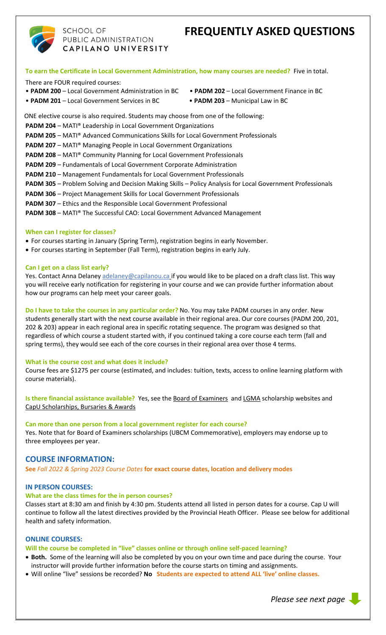# **FREQUENTLY ASKED QUESTIONS**



## **SCHOOL OF** PUBLIC ADMINISTRATION CAPILANO UNIVERSITY

**To earn the Certificate in Local Government Administration, how many courses are needed?** Five in total.

There are FOUR required courses:

- **PADM 200** Local Government Administration in BC **PADM 202**  Local Government Finance in BC
- 
- **PADM 201** Local Government Services in BC **PADM 203** Municipal Law in BC

ONE elective course is also required. Students may choose from one of the following:

- **PADM 204** MATI® Leadership in Local Government Organizations
- **PADM 205** MATI® Advanced Communications Skills for Local Government Professionals

**PADM 207** – MATI<sup>®</sup> Managing People in Local Government Organizations

- **PADM 208** MATI® Community Planning for Local Government Professionals
- **PADM 209** Fundamentals of Local Government Corporate Administration
- **PADM 210**  Management Fundamentals for Local Government Professionals
- **PADM 305** Problem Solving and Decision Making Skills Policy Analysis for Local Government Professionals
- **PADM 306** Project Management Skills for Local Government Professionals
- **PADM 307** Ethics and the Responsible Local Government Professional
- **PADM 308**  MATI® The Successful CAO: Local Government Advanced Management

## **When can I register for classes?**

- For courses starting in January (Spring Term), registration begins in early November.
- For courses starting in September (Fall Term), registration begins in early July.

## **Can I get on a class list early?**

Yes. Contact Anna Delaney [adelaney@capilanou.ca](mailto:adelaney@capilanou.ca) if you would like to be placed on a draft class list. This way you will receive early notification for registering in your course and we can provide further information about how our programs can help meet your career goals.

**Do I have to take the courses in any particular order?** No. You may take PADM courses in any order. New students generally start with the next course available in their regional area. Our core courses (PADM 200, 201, 202 & 203) appear in each regional area in specific rotating sequence. The program was designed so that regardless of which course a student started with, if you continued taking a core course each term (fall and spring terms), they would see each of the core courses in their regional area over those 4 terms.

## **What is the course cost and what does it include?**

Course fees are \$1275 per course (estimated, and includes: tuition, texts, access to online learning platform with course materials).

**Is there financial assistance available?** Yes, see th[e Board of Examiners](https://www2.gov.bc.ca/gov/content/governments/local-governments/governance-powers/councils-boards/officers-employees/learning?keyword=board&keyword=of&keyword=examiners) an[d LGMA](https://www.lgma.ca/scholarships) scholarship websites and [CapU Scholarships, Bursaries & Awards](https://capilanou.ca/admissions/fees--finances/financial-aid--awards/scholarships-bursaries--awards/)

## **Can more than one person from a local government register for each course?**

Yes. Note that for Board of Examiners scholarships (UBCM Commemorative), employers may endorse up to three employees per year.

## **COURSE INFORMATION:**

**See** *Fall 2022 & Spring 2023 Course Dates* **for exact course dates, location and delivery modes**

## **IN PERSON COURSES:**

## **What are the class times for the in person courses?**

Classes start at 8:30 am and finish by 4:30 pm. Students attend all listed in person dates for a course. Cap U will continue to follow all the latest directives provided by the Provincial Heath Officer. Please see below for additional health and safety information.

## **ONLINE COURSES:**

## **Will the course be completed in "live" classes online or through online self-paced learning?**

- **Both.** Some of the learning will also be completed by you on your own time and pace during the course. Your instructor will provide further information before the course starts on timing and assignments.
- Will online "live" sessions be recorded? **No Students are expected to attend ALL 'live' online classes.**